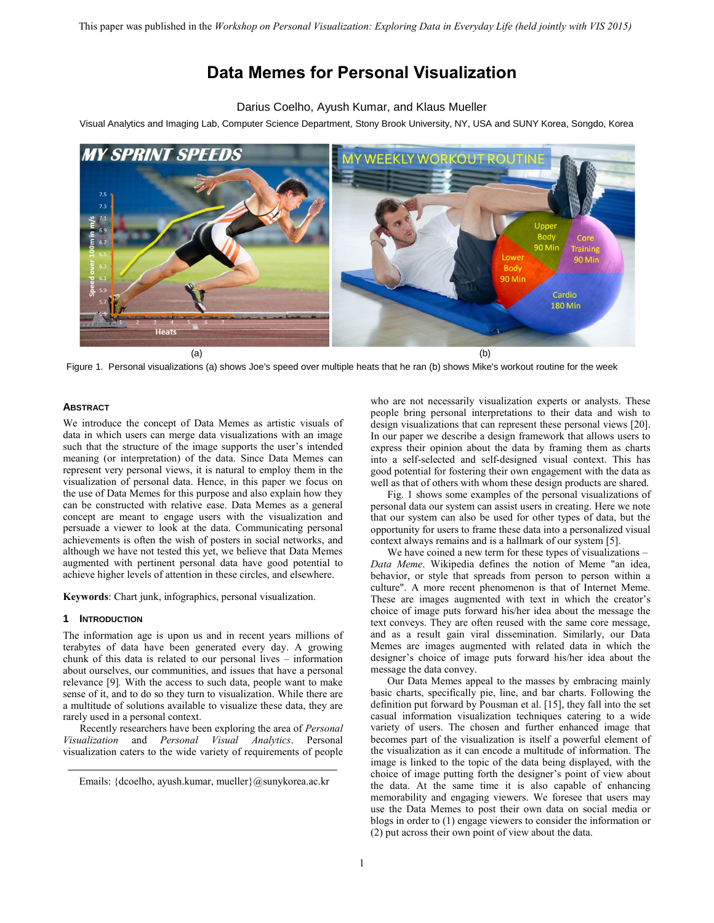# **Data Memes for Personal Visualization**

# Darius Coelho, Ayush Kumar, and Klaus Mueller

Visual Analytics and Imaging Lab, Computer Science Department, Stony Brook University, NY, USA and SUNY Korea, Songdo, Korea



Figure 1. Personal visualizations (a) shows Joe's speed over multiple heats that he ran (b) shows Mike's workout routine for the week

# **ABSTRACT**

We introduce the concept of Data Memes as artistic visuals of data in which users can merge data visualizations with an image such that the structure of the image supports the user's intended meaning (or interpretation) of the data. Since Data Memes can represent very personal views, it is natural to employ them in the visualization of personal data. Hence, in this paper we focus on the use of Data Memes for this purpose and also explain how they can be constructed with relative ease. Data Memes as a general concept are meant to engage users with the visualization and persuade a viewer to look at the data. Communicating personal achievements is often the wish of posters in social networks, and although we have not tested this yet, we believe that Data Memes augmented with pertinent personal data have good potential to achieve higher levels of attention in these circles, and elsewhere.

**Keywords**: Chart junk, infographics, personal visualization.

#### **1 INTRODUCTION**

The information age is upon us and in recent years millions of terabytes of data have been generated every day. A growing chunk of this data is related to our personal lives – information about ourselves, our communities, and issues that have a personal relevance [\[9\]](#page-3-0)*.* With the access to such data, people want to make sense of it, and to do so they turn to visualization. While there are a multitude of solutions available to visualize these data, they are rarely used in a personal context.

Recently researchers have been exploring the area of *Personal Visualization* and *Personal Visual Analytics*. Personal visualization caters to the wide variety of requirements of people

who are not necessarily visualization experts or analysts. These people bring personal interpretations to their data and wish to design visualizations that can represent these personal views [\[20\].](#page-3-1) In our paper we describe a design framework that allows users to express their opinion about the data by framing them as charts into a self-selected and self-designed visual context. This has good potential for fostering their own engagement with the data as well as that of others with whom these design products are shared.

Fig. 1 shows some examples of the personal visualizations of personal data our system can assist users in creating. Here we note that our system can also be used for other types of data, but the opportunity for users to frame these data into a personalized visual context always remains and is a hallmark of our system [\[5\].](#page-3-2) 

We have coined a new term for these types of visualizations – *Data Meme*. Wikipedia defines the notion of Meme "an idea, behavior, or style that spreads from person to person within a culture". A more recent phenomenon is that of Internet Meme. These are images augmented with text in which the creator's choice of image puts forward his/her idea about the message the text conveys. They are often reused with the same core message, and as a result gain viral dissemination. Similarly, our Data Memes are images augmented with related data in which the designer's choice of image puts forward his/her idea about the message the data convey.

Our Data Memes appeal to the masses by embracing mainly basic charts, specifically pie, line, and bar charts. Following the definition put forward by Pousman et al. [\[15\],](#page-3-3) they fall into the set casual information visualization techniques catering to a wide variety of users. The chosen and further enhanced image that becomes part of the visualization is itself a powerful element of the visualization as it can encode a multitude of information. The image is linked to the topic of the data being displayed, with the choice of image putting forth the designer's point of view about the data. At the same time it is also capable of enhancing memorability and engaging viewers. We foresee that users may use the Data Memes to post their own data on social media or blogs in order to (1) engage viewers to consider the information or (2) put across their own point of view about the data.

Emails: {dcoelho, ayush.kumar, mueller}@sunykorea.ac.kr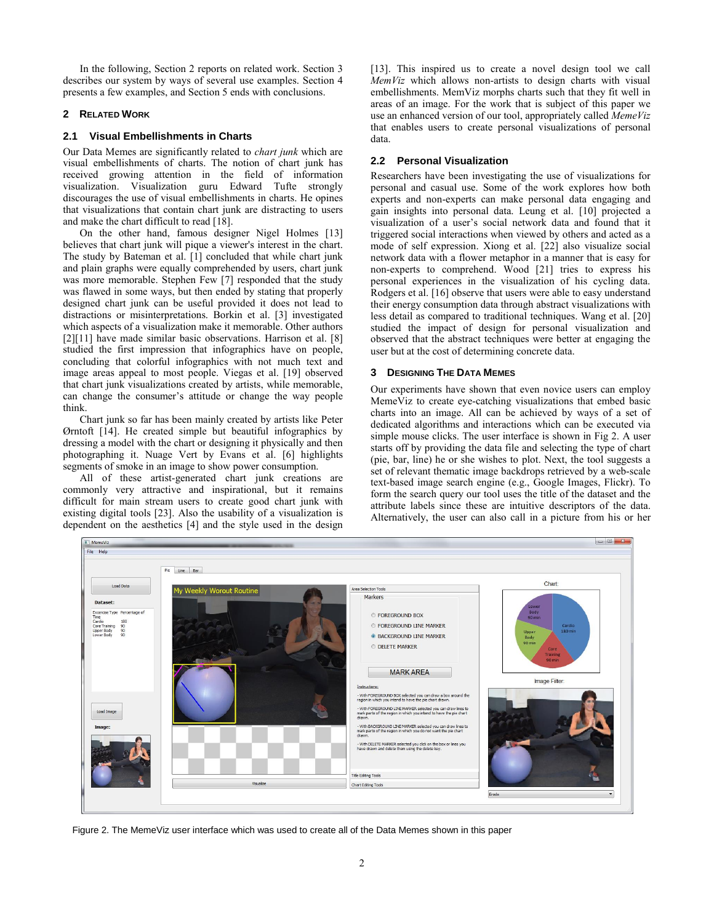In the following, Section 2 reports on related work. Section 3 describes our system by ways of several use examples. Section 4 presents a few examples, and Section 5 ends with conclusions.

# **2 RELATED WORK**

# **2.1 Visual Embellishments in Charts**

Our Data Memes are significantly related to *chart junk* which are visual embellishments of charts. The notion of chart junk has received growing attention in the field of information visualization. Visualization guru Edward Tufte strongly discourages the use of visual embellishments in charts. He opines that visualizations that contain chart junk are distracting to users and make the chart difficult to read [\[18\].](#page-3-4)

On the other hand, famous designer Nigel Holmes [\[13\]](#page-3-5) believes that chart junk will pique a viewer's interest in the chart. The study by Bateman et al. [\[1\]](#page-3-6) concluded that while chart junk and plain graphs were equally comprehended by users, chart junk was more memorable. Stephen Few [\[7\]](#page-3-7) responded that the study was flawed in some ways, but then ended by stating that properly designed chart junk can be useful provided it does not lead to distractions or misinterpretations. Borkin et al. [3] investigated which aspects of a visualization make it memorable. Other authors [\[2\]\[11\]](#page-3-8) have made similar basic observations. Harrison et al. [\[8\]](#page-3-9) studied the first impression that infographics have on people, concluding that colorful infographics with not much text and image areas appeal to most people. Viegas et al. [\[19\]](#page-3-10) observed that chart junk visualizations created by artists, while memorable, can change the consumer's attitude or change the way people think.

Chart junk so far has been mainly created by artists like Peter Ørntoft [\[14\].](#page-3-11) He created simple but beautiful infographics by dressing a model with the chart or designing it physically and then photographing it. Nuage Vert by Evans et al. [\[6\]](#page-3-12) highlights segments of smoke in an image to show power consumption.

All of these artist-generated chart junk creations are commonly very attractive and inspirational, but it remains difficult for main stream users to create good chart junk with existing digital tools [\[23\].](#page-3-13) Also the usability of a visualization is dependent on the aesthetics [\[4\]](#page-3-14) and the style used in the design [13]. This inspired us to create a novel design tool we call *MemViz* which allows non-artists to design charts with visual embellishments. MemViz morphs charts such that they fit well in areas of an image. For the work that is subject of this paper we use an enhanced version of our tool, appropriately called *MemeViz* that enables users to create personal visualizations of personal data.

# **2.2 Personal Visualization**

Researchers have been investigating the use of visualizations for personal and casual use. Some of the work explores how both experts and non-experts can make personal data engaging and gain insights into personal data. Leung et al. [\[10\]](#page-3-15) projected a visualization of a user's social network data and found that it triggered social interactions when viewed by others and acted as a mode of self expression. Xiong et al. [\[22\]](#page-3-16) also visualize social network data with a flower metaphor in a manner that is easy for non-experts to comprehend. Wood [\[21\]](#page-3-17) tries to express his personal experiences in the visualization of his cycling data. Rodgers et al. [\[16\]](#page-3-18) observe that users were able to easy understand their energy consumption data through abstract visualizations with less detail as compared to traditional techniques. Wang et al. [\[20\]](#page-3-1) studied the impact of design for personal visualization and observed that the abstract techniques were better at engaging the user but at the cost of determining concrete data.

# **3 DESIGNING THE DATA MEMES**

Our experiments have shown that even novice users can employ MemeViz to create eye-catching visualizations that embed basic charts into an image. All can be achieved by ways of a set of dedicated algorithms and interactions which can be executed via simple mouse clicks. The user interface is shown in Fig 2. A user starts off by providing the data file and selecting the type of chart (pie, bar, line) he or she wishes to plot. Next, the tool suggests a set of relevant thematic image backdrops retrieved by a web-scale text-based image search engine (e.g., Google Images, Flickr). To form the search query our tool uses the title of the dataset and the attribute labels since these are intuitive descriptors of the data. Alternatively, the user can also call in a picture from his or her



Figure 2. The MemeViz user interface which was used to create all of the Data Memes shown in this paper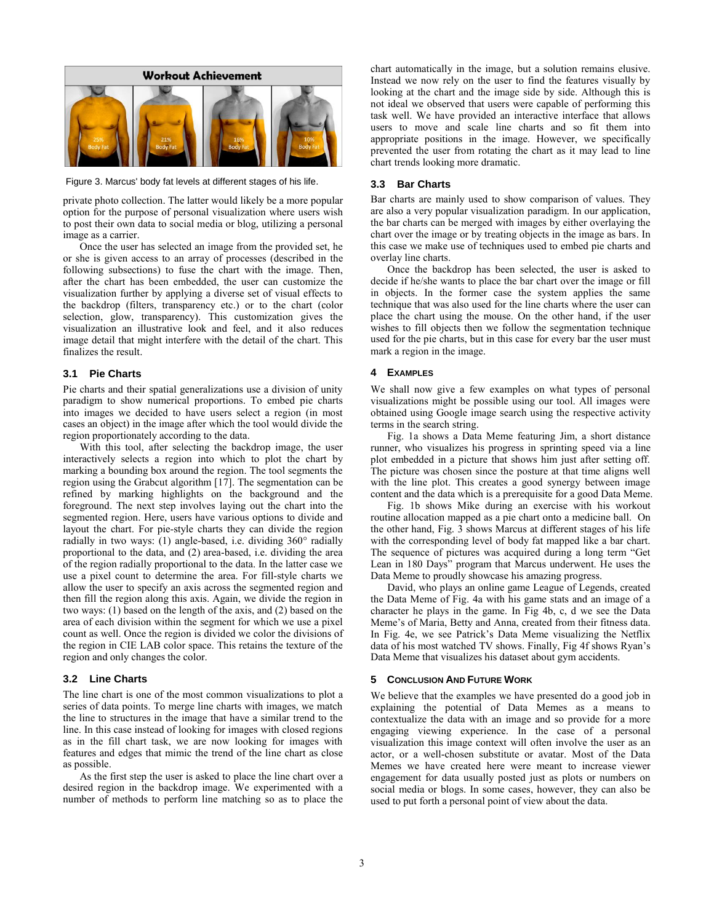

Figure 3. Marcus' body fat levels at different stages of his life.

private photo collection. The latter would likely be a more popular option for the purpose of personal visualization where users wish to post their own data to social media or blog, utilizing a personal image as a carrier.

Once the user has selected an image from the provided set, he or she is given access to an array of processes (described in the following subsections) to fuse the chart with the image. Then, after the chart has been embedded, the user can customize the visualization further by applying a diverse set of visual effects to the backdrop (filters, transparency etc.) or to the chart (color selection, glow, transparency). This customization gives the visualization an illustrative look and feel, and it also reduces image detail that might interfere with the detail of the chart. This finalizes the result.

#### **3.1 Pie Charts**

Pie charts and their spatial generalizations use a division of unity paradigm to show numerical proportions. To embed pie charts into images we decided to have users select a region (in most cases an object) in the image after which the tool would divide the region proportionately according to the data.

With this tool, after selecting the backdrop image, the user interactively selects a region into which to plot the chart by marking a bounding box around the region. The tool segments the region using the Grabcut algorithm [\[17\].](#page-3-19) The segmentation can be refined by marking highlights on the background and the foreground. The next step involves laying out the chart into the segmented region. Here, users have various options to divide and layout the chart. For pie-style charts they can divide the region radially in two ways:  $(1)$  angle-based, i.e. dividing  $360^\circ$  radially proportional to the data, and (2) area-based, i.e. dividing the area of the region radially proportional to the data. In the latter case we use a pixel count to determine the area. For fill-style charts we allow the user to specify an axis across the segmented region and then fill the region along this axis. Again, we divide the region in two ways: (1) based on the length of the axis, and (2) based on the area of each division within the segment for which we use a pixel count as well. Once the region is divided we color the divisions of the region in CIE LAB color space. This retains the texture of the region and only changes the color.

#### **3.2 Line Charts**

The line chart is one of the most common visualizations to plot a series of data points. To merge line charts with images, we match the line to structures in the image that have a similar trend to the line. In this case instead of looking for images with closed regions as in the fill chart task, we are now looking for images with features and edges that mimic the trend of the line chart as close as possible.

As the first step the user is asked to place the line chart over a desired region in the backdrop image. We experimented with a number of methods to perform line matching so as to place the

chart automatically in the image, but a solution remains elusive. Instead we now rely on the user to find the features visually by looking at the chart and the image side by side. Although this is not ideal we observed that users were capable of performing this task well. We have provided an interactive interface that allows users to move and scale line charts and so fit them into appropriate positions in the image. However, we specifically prevented the user from rotating the chart as it may lead to line chart trends looking more dramatic.

#### **3.3 Bar Charts**

Bar charts are mainly used to show comparison of values. They are also a very popular visualization paradigm. In our application, the bar charts can be merged with images by either overlaying the chart over the image or by treating objects in the image as bars. In this case we make use of techniques used to embed pie charts and overlay line charts.

Once the backdrop has been selected, the user is asked to decide if he/she wants to place the bar chart over the image or fill in objects. In the former case the system applies the same technique that was also used for the line charts where the user can place the chart using the mouse. On the other hand, if the user wishes to fill objects then we follow the segmentation technique used for the pie charts, but in this case for every bar the user must mark a region in the image.

#### **4 EXAMPLES**

We shall now give a few examples on what types of personal visualizations might be possible using our tool. All images were obtained using Google image search using the respective activity terms in the search string.

Fig. 1a shows a Data Meme featuring Jim, a short distance runner, who visualizes his progress in sprinting speed via a line plot embedded in a picture that shows him just after setting off. The picture was chosen since the posture at that time aligns well with the line plot. This creates a good synergy between image content and the data which is a prerequisite for a good Data Meme.

Fig. 1b shows Mike during an exercise with his workout routine allocation mapped as a pie chart onto a medicine ball. On the other hand, Fig. 3 shows Marcus at different stages of his life with the corresponding level of body fat mapped like a bar chart. The sequence of pictures was acquired during a long term "Get Lean in 180 Days" program that Marcus underwent. He uses the Data Meme to proudly showcase his amazing progress.

David, who plays an online game League of Legends, created the Data Meme of Fig. 4a with his game stats and an image of a character he plays in the game. In Fig 4b, c, d we see the Data Meme's of Maria, Betty and Anna, created from their fitness data. In Fig. 4e, we see Patrick's Data Meme visualizing the Netflix data of his most watched TV shows. Finally, Fig 4f shows Ryan's Data Meme that visualizes his dataset about gym accidents.

#### **5 CONCLUSION AND FUTURE WORK**

We believe that the examples we have presented do a good job in explaining the potential of Data Memes as a means to contextualize the data with an image and so provide for a more engaging viewing experience. In the case of a personal visualization this image context will often involve the user as an actor, or a well-chosen substitute or avatar. Most of the Data Memes we have created here were meant to increase viewer engagement for data usually posted just as plots or numbers on social media or blogs. In some cases, however, they can also be used to put forth a personal point of view about the data.